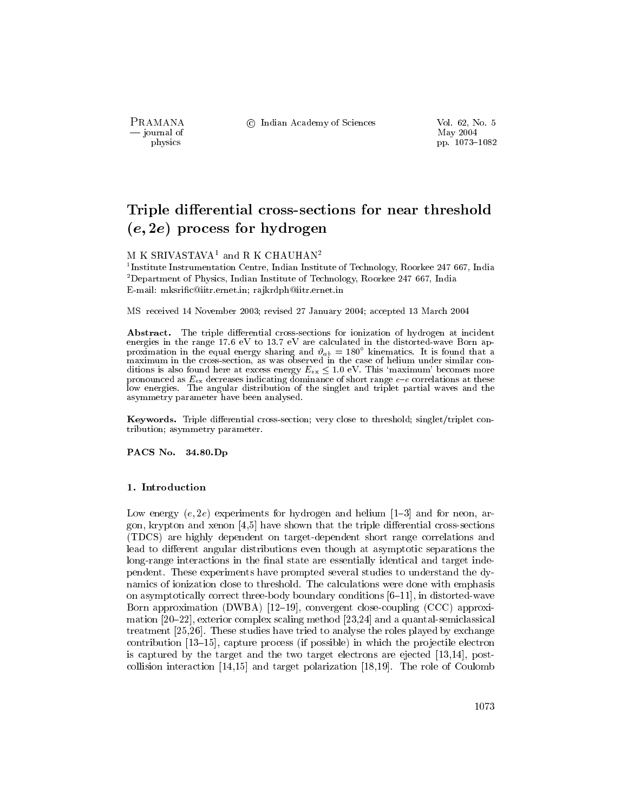PRAMANA — journal of physics

© Indian Academy of Sciences

Vol. 62, No. 5 May 2004 pp. 1073-1082

# Triple differential cross-sections for near threshold  $(e, 2e)$  process for hydrogen

## M K SRIVASTAVA<sup>1</sup> and R K CHAUHAN<sup>2</sup>

<sup>1</sup>Institute Instrumentation Centre, Indian Institute of Technology, Roorkee 247 667, India <sup>2</sup>Department of Physics, Indian Institute of Technology, Roorkee 247 667, India E-mail: mksrific@iitr.ernet.in; rajkrdph@iitr.ernet.in

MS received 14 November 2003; revised 27 January 2004; accepted 13 March 2004

Abstract. The triple differential cross-sections for ionization of hydrogen at incident energies in the range 17.6 eV to 13.7 eV are calculated in the distorted-wave Born approximation in the equal energy sharing and  $\vartheta_{ab} = 180^{\circ}$  kinematics. It is found that a maximum in the cross-section, as was observ ditions is also found here at excess energy  $E_{ex} \leq 1.0$  eV. This 'maximum' becomes more pronounced as  $E_{ex}$  decreases indicating dominance of short range e-e correlations at these low energies. The angular distribution of the singlet and triplet partial waves and the asymmetry parameter have been analysed.

Keywords. Triple differential cross-section; very close to threshold; singlet/triplet contribution; asymmetry parameter.

PACS No. 34.80.Dp

#### 1. Introduction

Low energy  $(e, 2e)$  experiments for hydrogen and helium  $[1-3]$  and for neon, argon, krypton and xenon  $[4,5]$  have shown that the triple differential cross-sections (TDCS) are highly dependent on target-dependent short range correlations and lead to different angular distributions even though at asymptotic separations the long-range interactions in the final state are essentially identical and target independent. These experiments have prompted several studies to understand the dynamics of ionization close to threshold. The calculations were done with emphasis on asymptotically correct three-body boundary conditions  $[6-11]$ , in distorted-wave Born approximation (DWBA)  $[12-19]$ , convergent close-coupling (CCC) approximation [20–22], exterior complex scaling method [23,24] and a quantal-semiclassical treatment [25,26]. These studies have tried to analyse the roles played by exchange contribution  $[13-15]$ , capture process (if possible) in which the projectile electron is captured by the target and the two target electrons are ejected  $[13,14]$ , postcollision interaction  $[14,15]$  and target polarization [18,19]. The role of Coulomb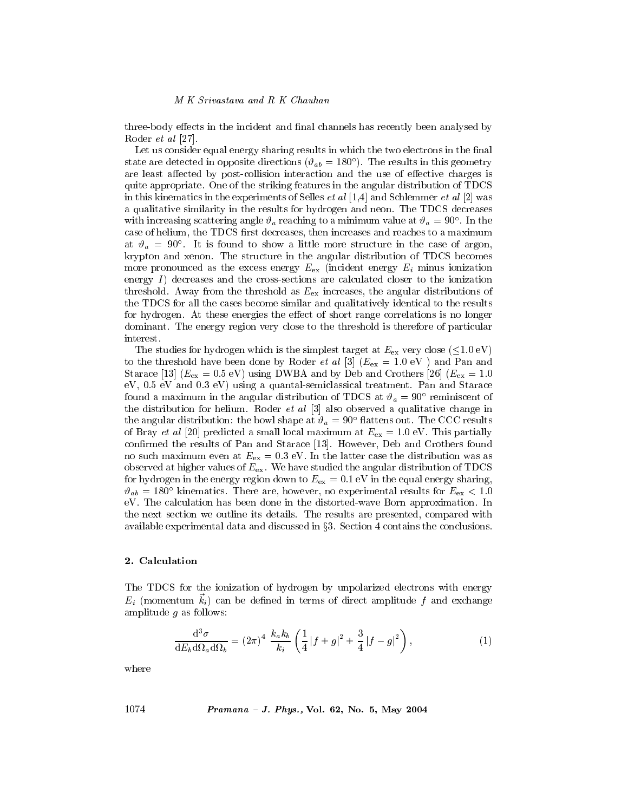three-body effects in the incident and final channels has recently been analysed by Roder *et al* [27].

Let us consider equal energy sharing results in which the two electrons in the final state are detected in opposite directions ( $\vartheta_{ab} = 180^{\circ}$ ). The results in this geometry are least affected by post-collision interaction and the use of effective charges is quite appropriate. One of the striking features in the angular distribution of TDCS in this kinematics in the experiments of Selles *et al* [1,4] and Schlemmer *et al* [2] was a qualitative similarity in the results for hydrogen and neon. The TDCS decreases with increasing scattering angle  $\vartheta_a$  reaching to a minimum value at  $\vartheta_a = 90^\circ$ . In the case of helium, the TDCS first decreases, then increases and reaches to a maximum at  $\vartheta_a = 90^\circ$ . It is found to show a little more structure in the case of argon, krypton and xenon. The structure in the angular distribution of TDCS becomes more pronounced as the excess energy  $E_{\text{ex}}$  (incident energy  $E_i$  minus ionization energy  $I$ ) decreases and the cross-sections are calculated closer to the ionization threshold. Away from the threshold as  $E_{\rm ex}$  increases, the angular distributions of the TDCS for all the cases become similar and qualitatively identical to the results for hydrogen. At these energies the effect of short range correlations is no longer dominant. The energy region very close to the threshold is therefore of particular interest.

The studies for hydrogen which is the simplest target at  $E_{\text{ex}}$  very close ( $\leq$ 1.0 eV) to the threshold have been done by Roder *et al* [3] ( $E_{\text{ex}} = 1.0 \text{ eV}$ ) and Pan and Starace [13] ( $E_{\text{ex}} = 0.5$  eV) using DWBA and by Deb and Crothers [26] ( $E_{\text{ex}} = 1.0$  $eV$ , 0.5  $eV$  and 0.3  $eV$ ) using a quantal-semiclassical treatment. Pan and Starace found a maximum in the angular distribution of TDCS at  $\vartheta_a = 90^\circ$  reminiscent of the distribution for helium. Roder *et al*  $\lceil 3 \rceil$  also observed a qualitative change in the angular distribution: the bowl shape at  $\vartheta_a = 90^\circ$  flattens out. The CCC results of Bray et al [20] predicted a small local maximum at  $E_{\text{ex}} = 1.0 \text{ eV}$ . This partially confirmed the results of Pan and Starace [13]. However, Deb and Crothers found no such maximum even at  $E_{ex} = 0.3$  eV. In the latter case the distribution was as observed at higher values of  $E_{\text{ex}}$ . We have studied the angular distribution of TDCS for hydrogen in the energy region down to  $E_{\text{ex}} = 0.1$  eV in the equal energy sharing,  $\vartheta_{ab} = 180^{\circ}$  kinematics. There are, however, no experimental results for  $E_{\text{ex}} < 1.0$ eV. The calculation has been done in the distorted-wave Born approximation. In the next section we outline its details. The results are presented, compared with available experimental data and discussed in  $\S 3$ . Section 4 contains the conclusions.

## 2. Calculation

The TDCS for the ionization of hydrogen by unpolarized electrons with energy  $E_i$  (momentum  $k_i$ ) can be defined in terms of direct amplitude f and exchange amplitude  $g$  as follows:

$$
\frac{\mathrm{d}^{3}\sigma}{\mathrm{d}E_{b}\mathrm{d}\Omega_{a}\mathrm{d}\Omega_{b}} = (2\pi)^{4} \frac{k_{a}k_{b}}{k_{i}} \left(\frac{1}{4}|f+g|^{2} + \frac{3}{4}|f-g|^{2}\right),\tag{1}
$$

where

*Pramana - J. Phys.*, Vol. 62, No. 5, May 2004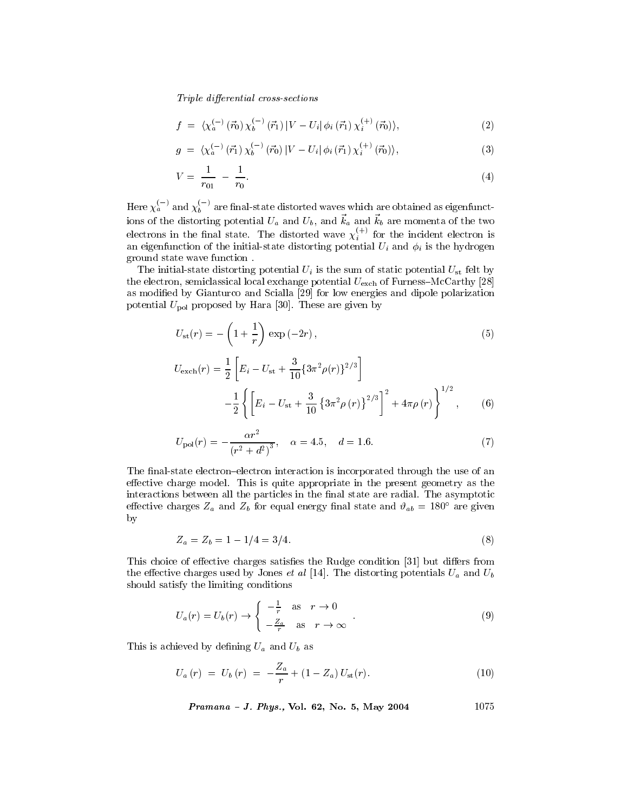Triple differential cross-sections

$$
f = \langle \chi_a^{(-)}(\vec{r}_0) \, \chi_b^{(-)}(\vec{r}_1) \, | V - U_i | \, \phi_i(\vec{r}_1) \, \chi_i^{(+)}(\vec{r}_0) \rangle, \tag{2}
$$

$$
g = \langle \chi_a^{(-)} (\vec{r}_1) \chi_b^{(-)} (\vec{r}_0) | V - U_i | \phi_i (\vec{r}_1) \chi_i^{(+)} (\vec{r}_0) \rangle, \tag{3}
$$

$$
V = \frac{1}{r_{01}} - \frac{1}{r_0}.\tag{4}
$$

Here  $\chi_a^{(-)}$  and  $\chi_b^{(-)}$  are final-state distorted waves which are obtained as eigenfunctions of the distorting potential  $U_a$  and  $U_b$ , and  $\vec{k}_a$  and  $\vec{k}_b$  are momenta of the two electrons in the final state. The distorted wave  $\chi_i^{(+)}$  for the incident electron is an eigenfunction of the initial-state distorting potential  $U_i$  and  $\phi_i$  is the hydrogen ground state wave function.

The initial-state distorting potential  $U_i$  is the sum of static potential  $U_{st}$  felt by the electron, semiclassical local exchange potential  $U_{\text{exch}}$  of Furness-McCarthy [28] as modified by Gianturco and Scialla [29] for low energies and dipole polarization potential  $U_{\text{pol}}$  proposed by Hara [30]. These are given by

$$
U_{\rm st}(r) = -\left(1 + \frac{1}{r}\right) \exp\left(-2r\right),\tag{5}
$$

$$
U_{\text{exch}}(r) = \frac{1}{2} \left[ E_i - U_{\text{st}} + \frac{3}{10} \{ 3\pi^2 \rho(r) \}^{2/3} \right]
$$
  
 
$$
- \frac{1}{2} \left\{ \left[ E_i - U_{\text{st}} + \frac{3}{10} \{ 3\pi^2 \rho(r) \}^{2/3} \right]^2 + 4\pi \rho(r) \right\}^{1/2}, \qquad (6)
$$

$$
U_{\text{pol}}(r) = -\frac{\alpha r^2}{(r^2 + d^2)^3}, \quad \alpha = 4.5, \quad d = 1.6. \tag{7}
$$

The final-state electron-electron interaction is incorporated through the use of an effective charge model. This is quite appropriate in the present geometry as the interactions between all the particles in the final state are radial. The asymptotic effective charges  $Z_a$  and  $Z_b$  for equal energy final state and  $\vartheta_{ab} = 180^\circ$  are given  $_{\rm by}$ 

$$
Z_a = Z_b = 1 - 1/4 = 3/4. \tag{8}
$$

This choice of effective charges satisfies the Rudge condition [31] but differs from the effective charges used by Jones *et al* [14]. The distorting potentials  $U_a$  and  $U_b$ should satisfy the limiting conditions

$$
U_a(r) = U_b(r) \rightarrow \begin{cases} -\frac{1}{r} & \text{as } r \rightarrow 0\\ -\frac{Z_a}{r} & \text{as } r \rightarrow \infty \end{cases} \tag{9}
$$

This is achieved by defining  $U_a$  and  $U_b$  as

$$
U_a(r) = U_b(r) = -\frac{Z_a}{r} + (1 - Z_a) U_{\rm st}(r). \tag{10}
$$

*Pramana - J. Phys.*, Vol. 62, No. 5, May 2004 
$$
1075
$$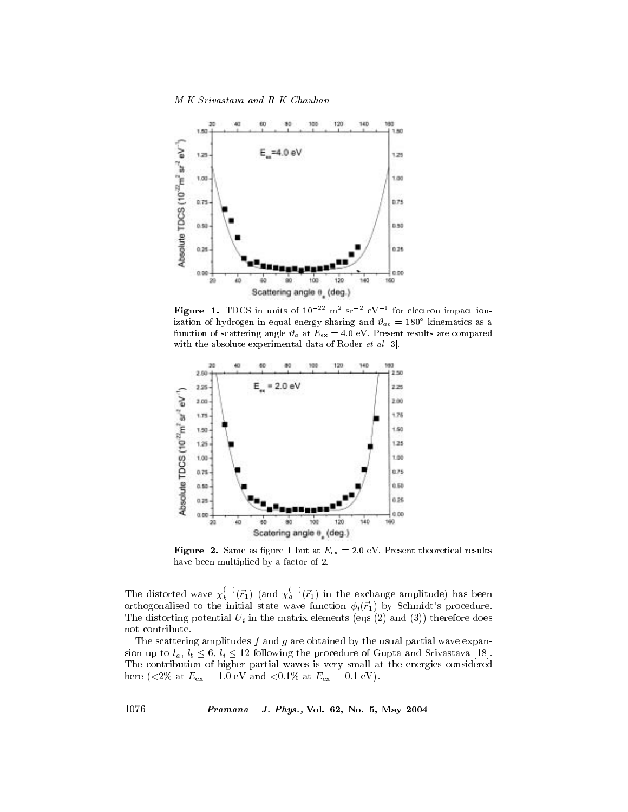M K Srivastava and R K Chauhan



Figure 1. TDCS in units of  $10^{-22}$  m<sup>2</sup> sr<sup>-2</sup> eV<sup>-1</sup> for electron impact ionization of hydrogen in equal energy sharing and  $\vartheta_{ab} = 180^\circ$  kinematics as a function of scattering angle  $\vartheta_a$  at  $E_{\text{ex}} = 4.0 \text{ eV}$ . Present results are compared with the absolute experimental data of Roder et al [3].



**Figure 2.** Same as figure 1 but at  $E_{ex} = 2.0$  eV. Present theoretical results have been multiplied by a factor of 2.

The distorted wave  $\chi_b^{(-)}(\vec{r}_1)$  (and  $\chi_a^{(-)}(\vec{r}_1)$  in the exchange amplitude) has been orthogonalised to the initial state wave function  $\phi_i(\vec{r}_1)$  by Schmidt's procedure. The distorting potential  $U_i$  in the matrix elements (eqs (2) and (3)) therefore does not contribute.

The scattering amplitudes  $f$  and  $g$  are obtained by the usual partial wave expansion up to  $l_a$ ,  $l_b \leq 6$ ,  $l_i \leq 12$  following the procedure of Gupta and Srivastava [18]. The contribution of higher partial waves is very small at the energies considered here (<2% at  $E_{\rm ex} = 1.0$  eV and <0.1% at  $E_{\rm ex} = 0.1$  eV).

*Pramana - J. Phys.*, Vol. 62, No. 5, May 2004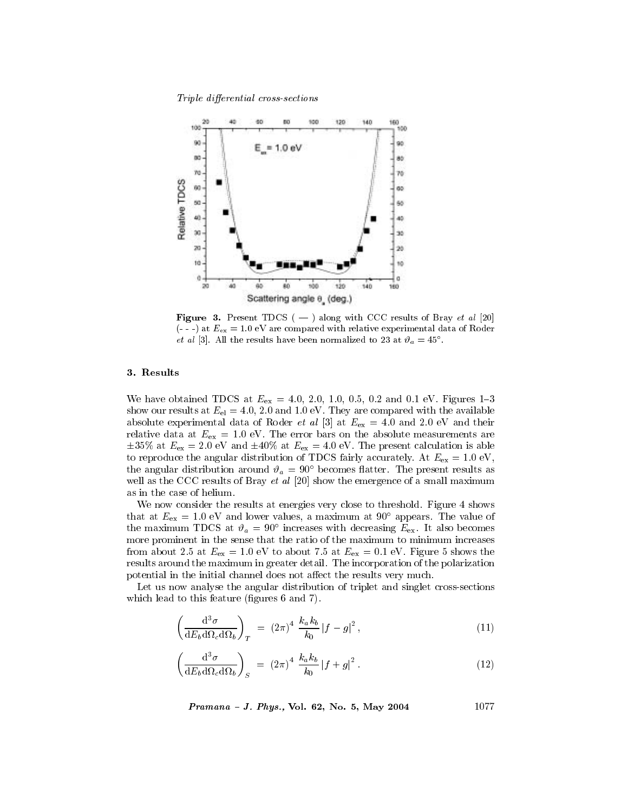Triple differential cross-sections



Figure 3. Present TDCS ( $-$ ) along with CCC results of Bray et al [20]  $(--)$  at  $E_{\text{ex}} = 1.0$  eV are compared with relative experimental data of Roder *et al* [3]. All the results have been normalized to 23 at  $\vartheta_a = 45^\circ$ .

## 3. Results

We have obtained TDCS at  $E_{\text{ex}} = 4.0, 2.0, 1.0, 0.5, 0.2$  and 0.1 eV. Figures 1-3 show our results at  $E_{el} = 4.0, 2.0$  and 1.0 eV. They are compared with the available absolute experimental data of Roder *et al* [3] at  $E_{\text{ex}} = 4.0$  and 2.0 eV and their relative data at  $E_{\text{ex}} = 1.0$  eV. The error bars on the absolute measurements are  $\pm 35\%$  at  $E_{\text{ex}} = 2.0$  eV and  $\pm 40\%$  at  $E_{\text{ex}} = 4.0$  eV. The present calculation is able to reproduce the angular distribution of TDCS fairly accurately. At  $E_{\text{ex}} = 1.0 \text{ eV}$ , the angular distribution around  $\vartheta_a = 90^\circ$  becomes flatter. The present results as well as the CCC results of Bray *et al* [20] show the emergence of a small maximum as in the case of helium.

We now consider the results at energies very close to threshold. Figure 4 shows that at  $E_{\rm ex} = 1.0$  eV and lower values, a maximum at 90° appears. The value of the maximum TDCS at  $\vartheta_a = 90^\circ$  increases with decreasing  $E_{\text{ex}}$ . It also becomes more prominent in the sense that the ratio of the maximum to minimum increases from about 2.5 at  $E_{\text{ex}} = 1.0 \text{ eV}$  to about 7.5 at  $E_{\text{ex}} = 0.1 \text{ eV}$ . Figure 5 shows the results around the maximum in greater detail. The incorporation of the polarization potential in the initial channel does not affect the results very much.

Let us now analyse the angular distribution of triplet and singlet cross-sections which lead to this feature (figures 6 and 7).

$$
\left(\frac{\mathrm{d}^3\sigma}{\mathrm{d}E_b\mathrm{d}\Omega_c\mathrm{d}\Omega_b}\right)_T = (2\pi)^4 \frac{k_a k_b}{k_0} |f - g|^2 ,\qquad (11)
$$

$$
\left(\frac{\mathrm{d}^3\sigma}{\mathrm{d}E_b\mathrm{d}\Omega_c\mathrm{d}\Omega_b}\right)_S = (2\pi)^4 \frac{k_a k_b}{k_0} |f+g|^2. \tag{12}
$$

1077 Pramana - J. Phys., Vol. 62, No. 5, May 2004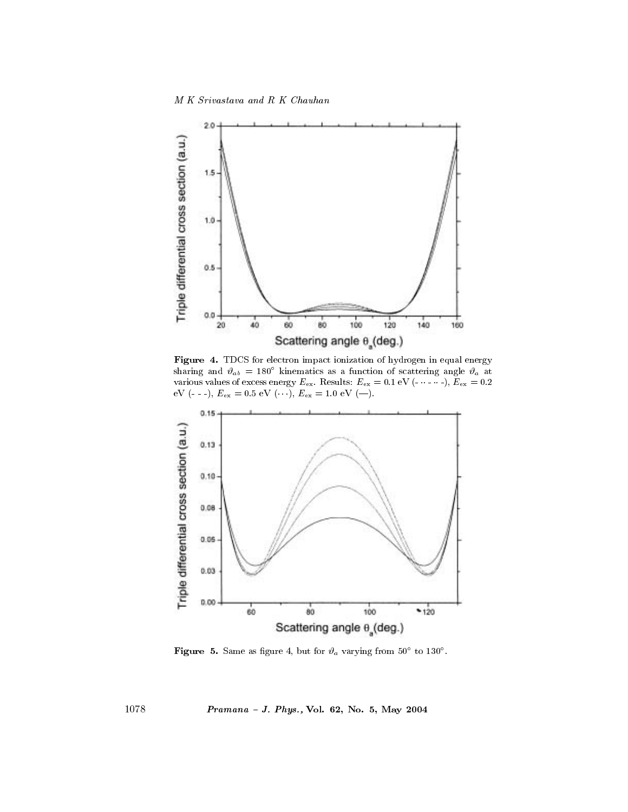M K Srivastava and R K Chauhan



Figure 4. TDCS for electron impact ionization of hydrogen in equal energy sharing and  $\vartheta_{ab} = 180^{\circ}$  kinematics as a function of scattering angle  $\vartheta_a$  at various values of excess energy  $E_{\text{ex}}$ . Results:  $E_{\text{ex}} = 0.1 \text{ eV} (- \cdots -), E_{\text{ex}} = 0.2$ eV (---),  $E_{\text{ex}} = 0.5 \text{ eV } (\cdots)$ ,  $E_{\text{ex}} = 1.0 \text{ eV } (\cdots)$ .



**Figure 5.** Same as figure 4, but for  $\vartheta_a$  varying from 50° to 130°.

Pramana - J. Phys., Vol. 62, No. 5, May 2004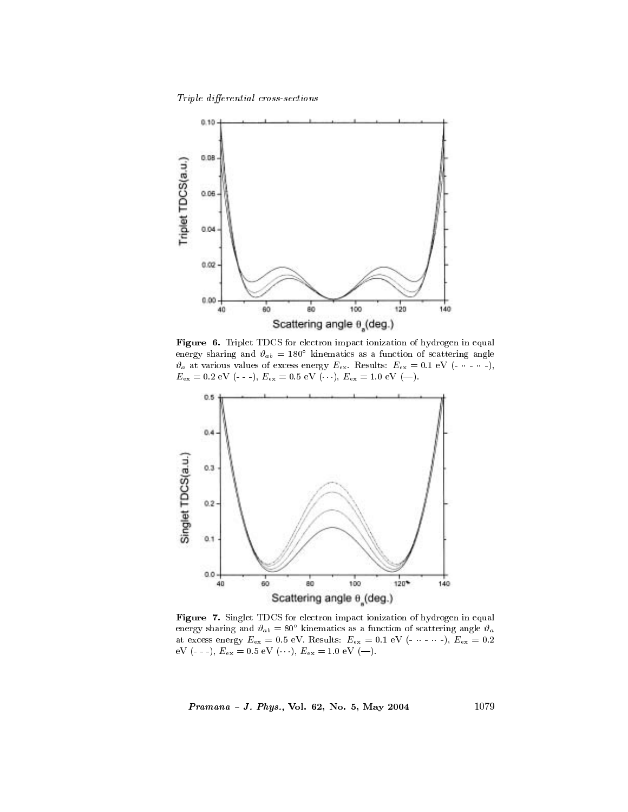Triple differential cross-sections



Figure 6. Triplet TDCS for electron impact ionization of hydrogen in equal energy sharing and  $\vartheta_{ab} = 180^{\circ}$  kinematics as a function of scattering angle  $\vartheta_a$  at various values of excess energy  $E_{\text{ex}}$ . Results:  $E_{\text{ex}} = 0.1 \text{ eV} (- \cdots -)$ ,  $E_{\rm ex} = 0.2 \text{ eV } (-, -), E_{\rm ex} = 0.5 \text{ eV } (\cdots), E_{\rm ex} = 1.0 \text{ eV } (-).$ 



Figure 7. Singlet TDCS for electron impact ionization of hydrogen in equal energy sharing and  $\vartheta_{ab} = 80^{\circ}$  kinematics as a function of scattering angle  $\vartheta_a$ at excess energy  $E_{\rm ex}$  = 0.5 eV. Results:  $E_{\rm ex}$  = 0.1 eV (- · - · -),  $E_{\rm ex}$  = 0.2 eV (- - -),  $E_{\rm ex}$  = 0.5 eV (…),  $E_{\rm ex}$  = 1.0 eV (—).

Pramana - J. Phys., Vol. 62, No. 5, May 2004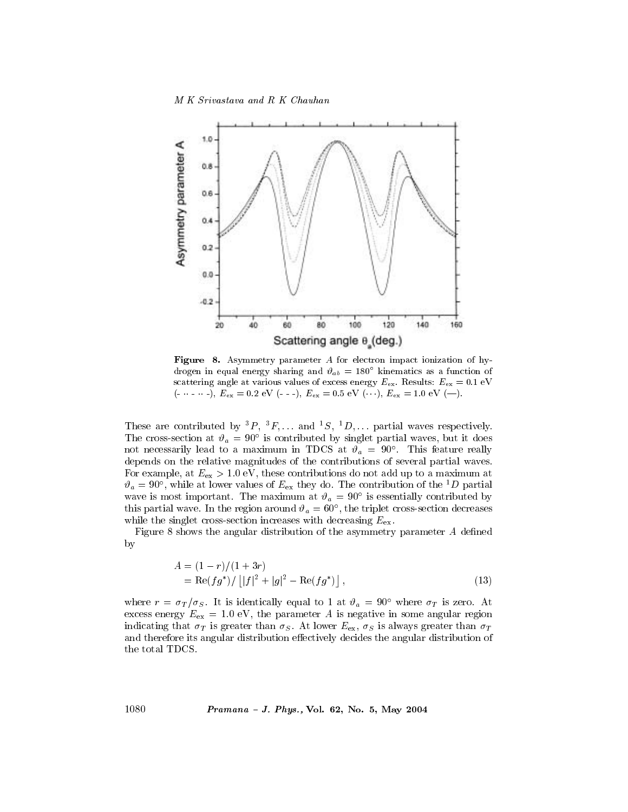

Figure 8. Asymmetry parameter A for electron impact ionization of hydrogen in equal energy sharing and  $\vartheta_{ab} = 180^{\circ}$  kinematics as a function of scattering angle at various values of excess energy  $E_{\text{ex}}$ . Results:  $E_{\text{ex}} = 0.1 \text{ eV}$  $(- \cdots -)$ ,  $E_{ex} = 0.2$  eV  $(- -)$ ,  $E_{ex} = 0.5$  eV  $(\cdots)$ ,  $E_{ex} = 1.0$  eV  $(-)$ .

These are contributed by  ${}^{3}P, {}^{3}F, \ldots$  and  ${}^{1}S, {}^{1}D, \ldots$  partial waves respectively. The cross-section at  $\vartheta_a = 90^\circ$  is contributed by singlet partial waves, but it does not necessarily lead to a maximum in TDCS at  $\vartheta_a = 90^\circ$ . This feature really depends on the relative magnitudes of the contributions of several partial waves. For example, at  $E_{\text{ex}} > 1.0$  eV, these contributions do not add up to a maximum at  $\vartheta_a = 90^\circ$ , while at lower values of  $E_{\text{ex}}$  they do. The contribution of the <sup>1</sup>D partial wave is most important. The maximum at  $\vartheta_a = 90^\circ$  is essentially contributed by this partial wave. In the region around  $\vartheta_a = 60^\circ$ , the triplet cross-section decreases while the singlet cross-section increases with decreasing  $E_{\text{ex}}$ .

Figure 8 shows the angular distribution of the asymmetry parameter A defined  $\mathbf{b}$ 

$$
A = (1 - r)/(1 + 3r)
$$
  
= Re(fg<sup>\*</sup>) / |[f]<sup>2</sup> + |g|<sup>2</sup> - Re(fg<sup>\*</sup>)], (13)

where  $r = \sigma_T/\sigma_S$ . It is identically equal to 1 at  $\vartheta_a = 90^\circ$  where  $\sigma_T$  is zero. At excess energy  $E_{\text{ex}} = 1.0$  eV, the parameter A is negative in some angular region indicating that  $\sigma_T$  is greater than  $\sigma_S$ . At lower  $E_{\rm ex}$ ,  $\sigma_S$  is always greater than  $\sigma_T$ and therefore its angular distribution effectively decides the angular distribution of the total TDCS.

*Pramana - J. Phys.*, Vol. 62, No. 5, May 2004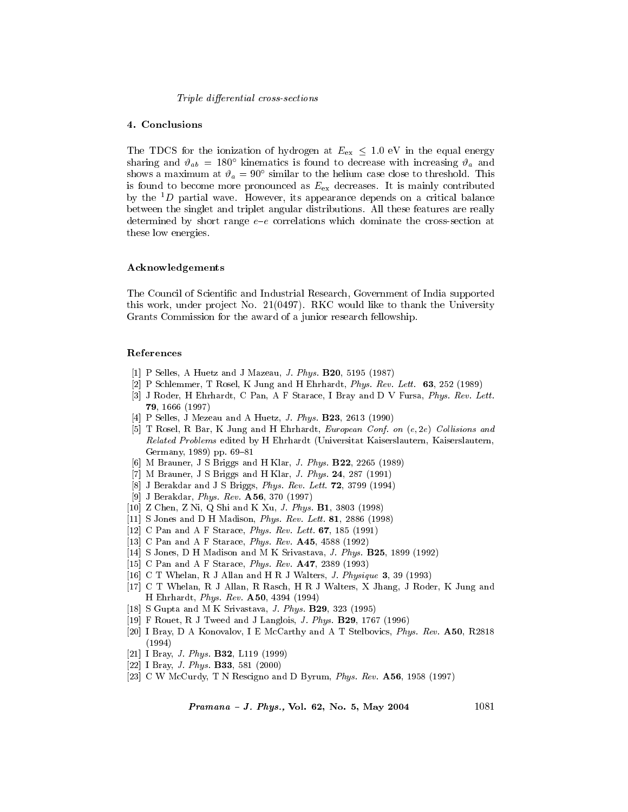#### *Triple differential cross-sections*

## 4. Conclusions

The TDCS for the ionization of hydrogen at  $E_{\text{ex}} \leq 1.0$  eV in the equal energy sharing and  $\vartheta_{ab} = 180^{\circ}$  kinematics is found to decrease with increasing  $\vartheta_a$  and shows a maximum at  $\vartheta_a = 90^{\circ}$  similar to the helium case close to threshold. This is found to become more pronounced as  $E_{\text{ex}}$  decreases. It is mainly contributed by the  ${}^{1}D$  partial wave. However, its appearance depends on a critical balance between the singlet and triplet angular distributions. All these features are really determined by short range  $e-e$  correlations which dominate the cross-section at these low energies.

#### Acknowledgements

The Council of Scientific and Industrial Research, Government of India supported this work, under project No. 21(0497). RKC would like to thank the University Grants Commission for the award of a junior research fellowship.

#### References

- [1] P Selles, A Huetz and J Mazeau, J. Phys. B20, 5195 (1987)
- [2] P Schlemmer, T Rosel, K Jung and H Ehrhardt, *Phys. Rev. Lett.*  $63$ , 252 (1989)
- [3] J Roder, H Ehrhardt, C Pan, A F Starace, I Bray and D V Fursa, Phys. Rev. Lett. 79, 1666 (1997)
- [4] P Selles, J Mezeau and A Huetz, J. Phys. B23, 2613 (1990)
- [5] T Rosel, R Bar, K Jung and H Ehrhardt, European Conf. on (e, 2e) Collisions and Related Problems edited by H Ehrhardt (Universitat Kaiserslautern, Kaiserslautern, Germany, 1989) pp. 69-81
- [6] M Brauner, J S Briggs and H Klar, J. Phys. B22, 2265 (1989)
- [7] M Brauner, J S Briggs and H Klar, J. Phys. 24, 287 (1991)
- [8] J Berakdar and J S Briggs, Phys. Rev. Lett. 72, 3799 (1994)
- [9] J Berakdar, *Phys. Rev.*  $A56$ , 370 (1997)
- [10] Z Chen, Z Ni, Q Shi and K Xu, J. Phys. B1, 3803 (1998)
- [11] S Jones and D H Madison, *Phys. Rev. Lett.* **81**, 2886 (1998)
- [12] C Pan and A F Starace, *Phys. Rev. Lett.* 67, 185 (1991)
- [13] C Pan and A F Starace, Phys. Rev. A45, 4588 (1992)
- [14] S Jones, D H Madison and M K Srivastava, J. Phys. B25, 1899 (1992)
- [15] C Pan and A F Starace, Phys. Rev. A47, 2389 (1993)
- [16] C T Whelan, R J Allan and H R J Walters, J. Physique 3, 39 (1993)
- [17] C T Whelan, R J Allan, R Rasch, H R J Walters, X Jhang, J Roder, K Jung and H Ehrhardt, Phys. Rev. A50, 4394 (1994)
- [18] S Gupta and M K Srivastava, J. Phys. B29, 323 (1995)
- [19] F Rouet, R J Tweed and J Langlois, J. Phys. B29, 1767 (1996)
- [20] I Bray, D A Konovalov, I E McCarthy and A T Stelbovics, Phys. Rev. A50, R2818  $(1994)$
- [21] I Bray, *J. Phys.* **B32**, L119 (1999)
- [22] I Bray, *J. Phys.* **B33**, 581 (2000)
- [23] C W McCurdy, T N Rescigno and D Byrum, Phys. Rev. A56, 1958 (1997)

Pramana - J. Phys., Vol. 62, No. 5, May 2004